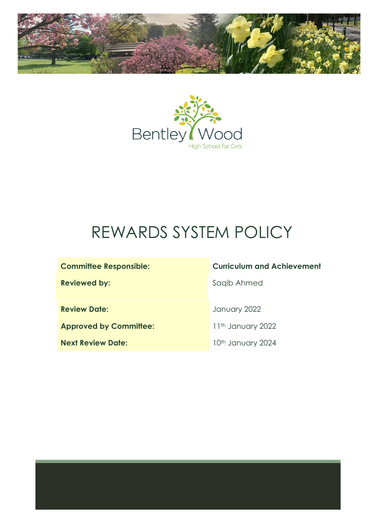



# $\ddot{\mathbf{r}}$ REWARDS SYSTEM POLICY

**Review Date:** January 2022

**Approved by Committee:** 11<sup>th</sup> January 2022

**Next Review Date:** 10<sup>th</sup> January 2024

# **Committee Responsible: Curriculum and Achievement**

**Reviewed by:** Saqib Ahmed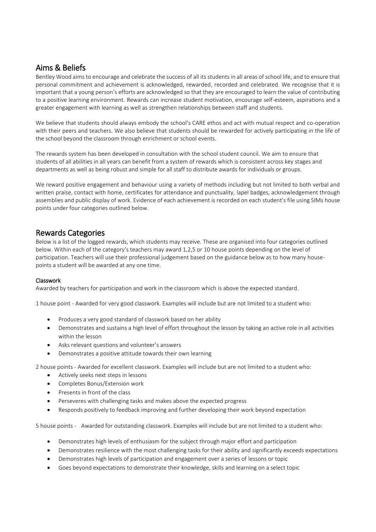## Aims & Beliefs

Bentley Wood aims to encourage and celebrate the success of all its students in all areas of school life, and to ensure that personal commitment and achievement is acknowledged, rewarded, recorded and celebrated. We recognise that it is important that a young person's efforts are acknowledged so that they are encouraged to learn the value of contributing to a positive learning environment. Rewards can increase student motivation, encourage self-esteem, aspirations and a greater engagement with learning as well as strengthen relationships between staff and students.

We believe that students should always embody the school's CARE ethos and act with mutual respect and co-operation with their peers and teachers. We also believe that students should be rewarded for actively participating in the life of the school beyond the classroom through enrichment or school events.

The rewards system has been developed in consultation with the school student council. We aim to ensure that students of all abilities in all years can benefit from a system of rewards which is consistent across key stages and departments as well as being robust and simple for all staff to distribute awards for individuals or groups.

We reward positive engagement and behaviour using a variety of methods including but not limited to both verbal and written praise, contact with home, certificates for attendance and punctuality, lapel badges, acknowledgement through assemblies and public display of work. Evidence of each achievement is recorded on each student's file using SIMs house points under four categories outlined below.

## Rewards Categories

Below is a list of the logged rewards, which students may receive. These are organised into four categories outlined below. Within each of the category's teachers may award 1,2,5 or 10 house points depending on the level of participation. Teachers will use their professional judgement based on the guidance below as to how many housepoints a student will be awarded at any one time.

## Classwork

Awarded by teachers for participation and work in the classroom which is above the expected standard.

1 house point - Awarded for very good classwork. Examples will include but are not limited to a student who:

- Produces a very good standard of classwork based on her ability
- Demonstrates and sustains a high level of effort throughout the lesson by taking an active role in all activities within the lesson
- Asks relevant questions and volunteer's answers
- Demonstrates a positive attitude towards their own learning

2 house points - Awarded for excellent classwork. Examples will include but are not limited to a student who:

- Actively seeks next steps in lessons
- Completes Bonus/Extension work
- Presents in front of the class
- Perseveres with challenging tasks and makes above the expected progress
- Responds positively to feedback improving and further developing their work beyond expectation

5 house points - Awarded for outstanding classwork. Examples will include but are not limited to a student who:

- Demonstrates high levels of enthusiasm for the subject through major effort and participation
- Demonstrates resilience with the most challenging tasks for their ability and significantly exceeds expectations
- Demonstrates high levels of participation and engagement over a series of lessons or topic
- Goes beyond expectations to demonstrate their knowledge, skills and learning on a select topic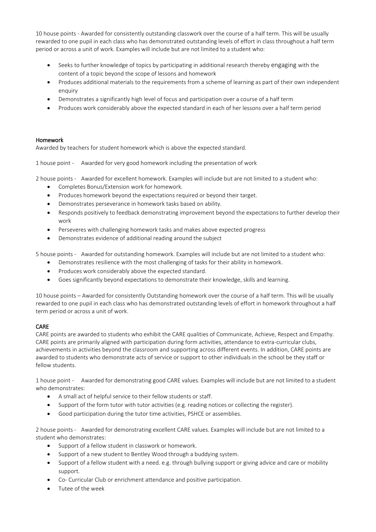10 house points - Awarded for consistently outstanding classwork over the course of a half term. This will be usually rewarded to one pupil in each class who has demonstrated outstanding levels of effort in class throughout a half term period or across a unit of work. Examples will include but are not limited to a student who:

- Seeks to further knowledge of topics by participating in additional research thereby engaging with the content of a topic beyond the scope of lessons and homework
- Produces additional materials to the requirements from a scheme of learning as part of their own independent enquiry
- Demonstrates a significantly high level of focus and participation over a course of a half term
- Produces work considerably above the expected standard in each of her lessons over a half term period

## Homework

Awarded by teachers for student homework which is above the expected standard.

1 house point - Awarded for very good homework including the presentation of work

2 house points - Awarded for excellent homework. Examples will include but are not limited to a student who:

- Completes Bonus/Extension work for homework.
- Produces homework beyond the expectations required or beyond their target.
- Demonstrates perseverance in homework tasks based on ability.
- Responds positively to feedback demonstrating improvement beyond the expectations to further develop their work
- Perseveres with challenging homework tasks and makes above expected progress
- Demonstrates evidence of additional reading around the subject

5 house points - Awarded for outstanding homework. Examples will include but are not limited to a student who:

- Demonstrates resilience with the most challenging of tasks for their ability in homework.
- Produces work considerably above the expected standard.
- Goes significantly beyond expectations to demonstrate their knowledge, skills and learning.

10 house points – Awarded for consistently Outstanding homework over the course of a half term. This will be usually rewarded to one pupil in each class who has demonstrated outstanding levels of effort in homework throughout a half term period or across a unit of work.

## CARE

CARE points are awarded to students who exhibit the CARE qualities of Communicate, Achieve, Respect and Empathy. CARE points are primarily aligned with participation during form activities, attendance to extra-curricular clubs, achievements in activities beyond the classroom and supporting across different events. In addition, CARE points are awarded to students who demonstrate acts of service or support to other individuals in the school be they staff or fellow students.

1 house point - Awarded for demonstrating good CARE values. Examples will include but are not limited to a student who demonstrates:

- A small act of helpful service to their fellow students or staff.
- Support of the form tutor with tutor activities (e.g. reading notices or collecting the register).
- Good participation during the tutor time activities, PSHCE or assemblies.

2 house points - Awarded for demonstrating excellent CARE values. Examples will include but are not limited to a student who demonstrates:

- Support of a fellow student in classwork or homework.
- Support of a new student to Bentley Wood through a buddying system.
- Support of a fellow student with a need. e.g. through bullying support or giving advice and care or mobility support.
- Co- Curricular Club or enrichment attendance and positive participation.
- Tutee of the week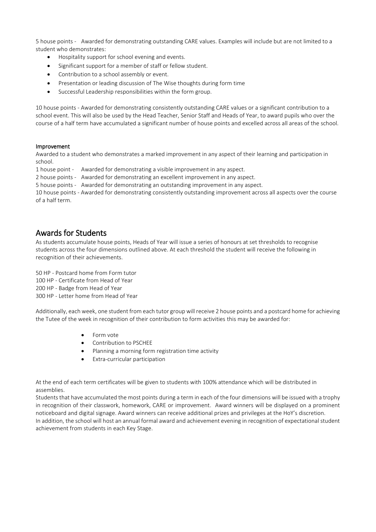5 house points - Awarded for demonstrating outstanding CARE values. Examples will include but are not limited to a student who demonstrates:

- Hospitality support for school evening and events.
- Significant support for a member of staff or fellow student.
- Contribution to a school assembly or event.
- Presentation or leading discussion of The Wise thoughts during form time
- Successful Leadership responsibilities within the form group.

10 house points - Awarded for demonstrating consistently outstanding CARE values or a significant contribution to a school event. This will also be used by the Head Teacher, Senior Staff and Heads of Year, to award pupils who over the course of a half term have accumulated a significant number of house points and excelled across all areas of the school.

#### Improvement

Awarded to a student who demonstrates a marked improvement in any aspect of their learning and participation in school.

1 house point - Awarded for demonstrating a visible improvement in any aspect.

2 house points - Awarded for demonstrating an excellent improvement in any aspect.

5 house points - Awarded for demonstrating an outstanding improvement in any aspect.

10 house points - Awarded for demonstrating consistently outstanding improvement across all aspects over the course of a half term.

## Awards for Students

As students accumulate house points, Heads of Year will issue a series of honours at set thresholds to recognise students across the four dimensions outlined above. At each threshold the student will receive the following in recognition of their achievements.

50 HP - Postcard home from Form tutor 100 HP - Certificate from Head of Year 200 HP - Badge from Head of Year 300 HP - Letter home from Head of Year

Additionally, each week, one student from each tutor group will receive 2 house points and a postcard home for achieving the Tutee of the week in recognition of their contribution to form activities this may be awarded for:

- Form vote
- Contribution to PSCHEE
- Planning a morning form registration time activity
- Extra-curricular participation

At the end of each term certificates will be given to students with 100% attendance which will be distributed in assemblies.

Students that have accumulated the most points during a term in each of the four dimensions will be issued with a trophy in recognition of their classwork, homework, CARE or improvement. Award winners will be displayed on a prominent noticeboard and digital signage. Award winners can receive additional prizes and privileges at the HoY's discretion. In addition, the school will host an annual formal award and achievement evening in recognition of expectational student achievement from students in each Key Stage.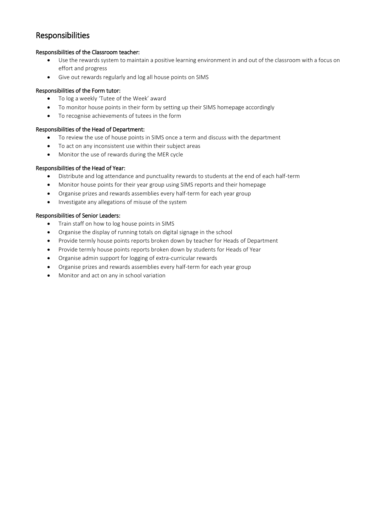# Responsibilities

## Responsibilities of the Classroom teacher:

- Use the rewards system to maintain a positive learning environment in and out of the classroom with a focus on effort and progress
- Give out rewards regularly and log all house points on SIMS

## Responsibilities of the Form tutor:

- To log a weekly 'Tutee of the Week' award
- To monitor house points in their form by setting up their SIMS homepage accordingly
- To recognise achievements of tutees in the form

## Responsibilities of the Head of Department:

- To review the use of house points in SIMS once a term and discuss with the department
- To act on any inconsistent use within their subject areas
- Monitor the use of rewards during the MER cycle

## Responsibilities of the Head of Year:

- Distribute and log attendance and punctuality rewards to students at the end of each half-term
- Monitor house points for their year group using SIMS reports and their homepage
- Organise prizes and rewards assemblies every half-term for each year group
- Investigate any allegations of misuse of the system

## Responsibilities of Senior Leaders:

- Train staff on how to log house points in SIMS
- Organise the display of running totals on digital signage in the school
- Provide termly house points reports broken down by teacher for Heads of Department
- Provide termly house points reports broken down by students for Heads of Year
- Organise admin support for logging of extra-curricular rewards
- Organise prizes and rewards assemblies every half-term for each year group
- Monitor and act on any in school variation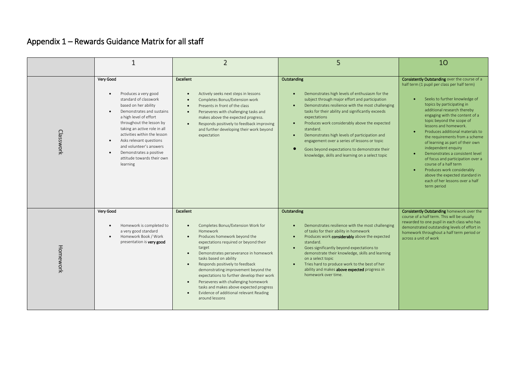# Appendix 1 – Rewards Guidance Matrix for all staff

|           |                                                                                                                                                                                                                                                                                                                                                                                            | $\overline{2}$                                                                                                                                                                                                                                                                                                                                                                                                                                                                                                                     | 5                                                                                                                                                                                                                                                                                                                                                                                                                                                                                                                                                                 | 10                                                                                                                                                                                                                                                                                                                                                                                                                                                                                                                                                                                                                                     |
|-----------|--------------------------------------------------------------------------------------------------------------------------------------------------------------------------------------------------------------------------------------------------------------------------------------------------------------------------------------------------------------------------------------------|------------------------------------------------------------------------------------------------------------------------------------------------------------------------------------------------------------------------------------------------------------------------------------------------------------------------------------------------------------------------------------------------------------------------------------------------------------------------------------------------------------------------------------|-------------------------------------------------------------------------------------------------------------------------------------------------------------------------------------------------------------------------------------------------------------------------------------------------------------------------------------------------------------------------------------------------------------------------------------------------------------------------------------------------------------------------------------------------------------------|----------------------------------------------------------------------------------------------------------------------------------------------------------------------------------------------------------------------------------------------------------------------------------------------------------------------------------------------------------------------------------------------------------------------------------------------------------------------------------------------------------------------------------------------------------------------------------------------------------------------------------------|
| Classwork | Very Good<br>Produces a very good<br>$\bullet$<br>standard of classwork<br>based on her ability<br>Demonstrates and sustains<br>a high level of effort<br>throughout the lesson by<br>taking an active role in all<br>activities within the lesson<br>Asks relevant questions<br>$\bullet$<br>and volunteer's answers<br>Demonstrates a positive<br>attitude towards their own<br>learning | <b>Excellent</b><br>Actively seeks next steps in lessons<br>Completes Bonus/Extension work<br>Presents in front of the class<br>Perseveres with challenging tasks and<br>$\bullet$<br>makes above the expected progress.<br>Responds positively to feedback improving<br>$\bullet$<br>and further developing their work beyond<br>expectation                                                                                                                                                                                      | Outstanding<br>Demonstrates high levels of enthusiasm for the<br>subject through major effort and participation<br>Demonstrates resilience with the most challenging<br>$\bullet$<br>tasks for their ability and significantly exceeds<br>expectations<br>Produces work considerably above the expected<br>$\bullet$<br>standard.<br>Demonstrates high levels of participation and<br>$\bullet$<br>engagement over a series of lessons or topic<br>Goes beyond expectations to demonstrate their<br>$\bullet$<br>knowledge, skills and learning on a select topic | Consistently Outstanding over the course of a<br>half term (1 pupil per class per half term)<br>Seeks to further knowledge of<br>topics by participating in<br>additional research thereby<br>engaging with the content of a<br>topic beyond the scope of<br>lessons and homework.<br>Produces additional materials to<br>the requirements from a scheme<br>of learning as part of their own<br>independent enquiry<br>Demonstrates a consistent level<br>of focus and participation over a<br>course of a half term<br>Produces work considerably<br>above the expected standard in<br>each of her lessons over a half<br>term period |
| Homework  | Very Good<br>Homework is completed to<br>$\bullet$<br>a very good standard<br>Homework Book / Work<br>presentation is very good                                                                                                                                                                                                                                                            | <b>Excellent</b><br>Completes Bonus/Extension Work for<br><b>Homework</b><br>Produces homework beyond the<br>expectations required or beyond their<br>target<br>Demonstrates perseverance in homework<br>$\bullet$<br>tasks based on ability<br>Responds positively to feedback<br>$\bullet$<br>demonstrating improvement beyond the<br>expectations to further develop their work<br>Perseveres with challenging homework<br>tasks and makes above expected progress<br>Evidence of additional relevant Reading<br>around lessons | Outstanding<br>Demonstrates resilience with the most challenging<br>of tasks for their ability in homework<br>Produces work considerably above the expected<br>standard.<br>Goes significantly beyond expectations to<br>$\bullet$<br>demonstrate their knowledge, skills and learning<br>on a select topic<br>Tries hard to produce work to the best of her<br>ability and makes <b>above expected</b> progress in<br>homework over time.                                                                                                                        | Consistently Outstanding homework over the<br>course of a half term. This will be usually<br>rewarded to one pupil in each class who has<br>demonstrated outstanding levels of effort in<br>homework throughout a half term period or<br>across a unit of work                                                                                                                                                                                                                                                                                                                                                                         |